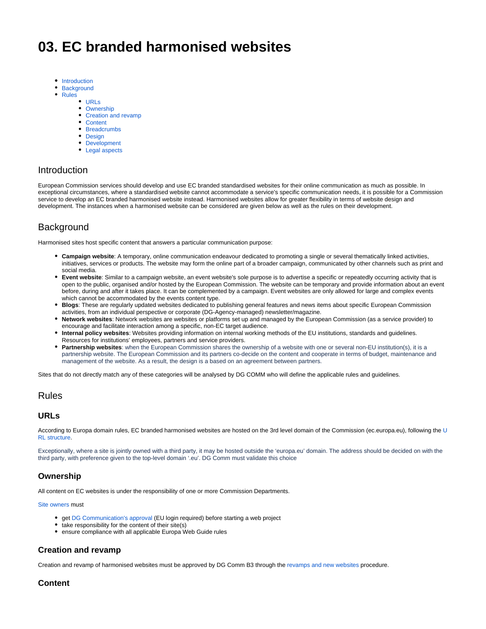# **03. EC branded harmonised websites**

- [Introduction](#page-0-0)
- $\bullet$ **[Background](#page-0-1)**
- $\bullet$ [Rules](#page-0-2)
	- [URLs](#page-0-3)
	- [Ownership](#page-0-4) [Creation and revamp](#page-0-5)
	- [Content](#page-0-6)
	- [Breadcrumbs](#page-1-0)
	- [Design](#page-1-1)
	- [Development](#page-1-2)
	- [Legal aspects](#page-1-3)

## <span id="page-0-0"></span>Introduction

European Commission services should develop and use EC branded standardised websites for their online communication as much as possible. In exceptional circumstances, where a standardised website cannot accommodate a service's specific communication needs, it is possible for a Commission service to develop an EC branded harmonised website instead. Harmonised websites allow for greater flexibility in terms of website design and development. The instances when a harmonised website can be considered are given below as well as the rules on their development.

## <span id="page-0-1"></span>**Background**

Harmonised sites host specific content that answers a particular communication purpose:

- **Campaign website**: A temporary, online communication endeavour dedicated to promoting a single or several thematically linked activities, initiatives, services or products. The website may form the online part of a broader campaign, communicated by other channels such as print and social media.
- **Event website**: Similar to a campaign website, an event website's sole purpose is to advertise a specific or repeatedly occurring activity that is open to the public, organised and/or hosted by the European Commission. The website can be temporary and provide information about an event before, during and after it takes place. It can be complemented by a campaign. Event websites are only allowed for large and complex events which cannot be accommodated by the events content type.
- **Blogs**: These are regularly updated websites dedicated to publishing general features and news items about specific European Commission activities, from an individual perspective or corporate (DG-Agency-managed) newsletter/magazine.
- **Network websites**: Network websites are websites or platforms set up and managed by the European Commission (as a service provider) to encourage and facilitate interaction among a specific, non-EC target audience.
- **Internal policy websites**: Websites providing information on internal working methods of the EU institutions, standards and guidelines. Resources for institutions' employees, partners and service providers.
- **Partnership websites**: when the European Commission shares the ownership of a website with one or several non-EU institution(s), it is a partnership website. The European Commission and its partners co-decide on the content and cooperate in terms of budget, maintenance and management of the website. As a result, the design is a based on an agreement between partners.

Sites that do not directly match any of these categories will be analysed by DG COMM who will define the applicable rules and guidelines.

#### <span id="page-0-2"></span>Rules

#### <span id="page-0-3"></span>**URLs**

According to Europa domain rules, EC branded harmonised websites are hosted on the 3rd level domain of the Commission (ec.europa.eu), following the [U](https://wikis.ec.europa.eu/display/WEBGUIDE/01.+URL+structure) [RL structure.](https://wikis.ec.europa.eu/display/WEBGUIDE/01.+URL+structure)

Exceptionally, where a site is jointly owned with a third party, it may be hosted outside the 'europa.eu' domain. The address should be decided on with the third party, with preference given to the top-level domain '.eu'. DG Comm must validate this choice

### <span id="page-0-4"></span>**Ownership**

All content on EC websites is under the responsibility of one or more Commission Departments.

#### [Site owners](https://wikis.ec.europa.eu/display/WEBGUIDE/01.+European+Commission+websites+overview#id-01.EuropeanCommissionwebsitesoverview-Siteowner) must

- get [DG Communication's approval](https://wikis.ec.europa.eu/display/WEBGUIDE/01.+Request+procedures) (EU login required) before starting a web project
- take responsibility for the content of their site(s)
- ensure compliance with all applicable Europa Web Guide rules

#### <span id="page-0-5"></span>**Creation and revamp**

Creation and revamp of harmonised websites must be approved by DG Comm B3 through the [revamps and new websites](https://wikis.ec.europa.eu/pages/viewpage.action?pageId=6824608) procedure.

### <span id="page-0-6"></span>**Content**